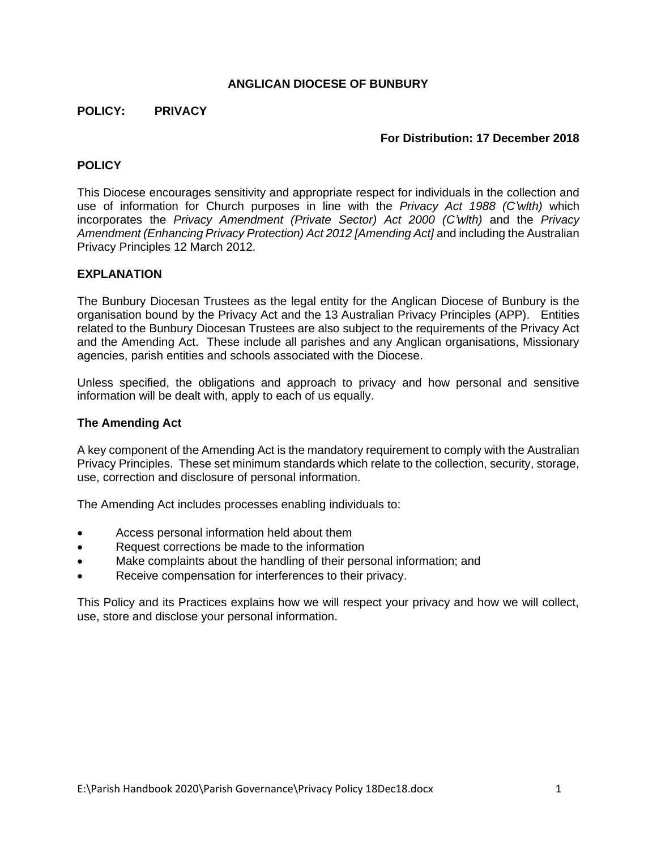### **ANGLICAN DIOCESE OF BUNBURY**

### **POLICY: PRIVACY**

### **For Distribution: 17 December 2018**

## **POLICY**

This Diocese encourages sensitivity and appropriate respect for individuals in the collection and use of information for Church purposes in line with the *Privacy Act 1988 (C'wlth)* which incorporates the *Privacy Amendment (Private Sector) Act 2000 (C'wlth)* and the *Privacy Amendment (Enhancing Privacy Protection) Act 2012 [Amending Act]* and including the Australian Privacy Principles 12 March 2012.

### **EXPLANATION**

The Bunbury Diocesan Trustees as the legal entity for the Anglican Diocese of Bunbury is the organisation bound by the Privacy Act and the 13 Australian Privacy Principles (APP). Entities related to the Bunbury Diocesan Trustees are also subject to the requirements of the Privacy Act and the Amending Act. These include all parishes and any Anglican organisations, Missionary agencies, parish entities and schools associated with the Diocese.

Unless specified, the obligations and approach to privacy and how personal and sensitive information will be dealt with, apply to each of us equally.

### **The Amending Act**

A key component of the Amending Act is the mandatory requirement to comply with the Australian Privacy Principles. These set minimum standards which relate to the collection, security, storage, use, correction and disclosure of personal information.

The Amending Act includes processes enabling individuals to:

- Access personal information held about them
- Request corrections be made to the information
- Make complaints about the handling of their personal information; and
- Receive compensation for interferences to their privacy.

This Policy and its Practices explains how we will respect your privacy and how we will collect, use, store and disclose your personal information.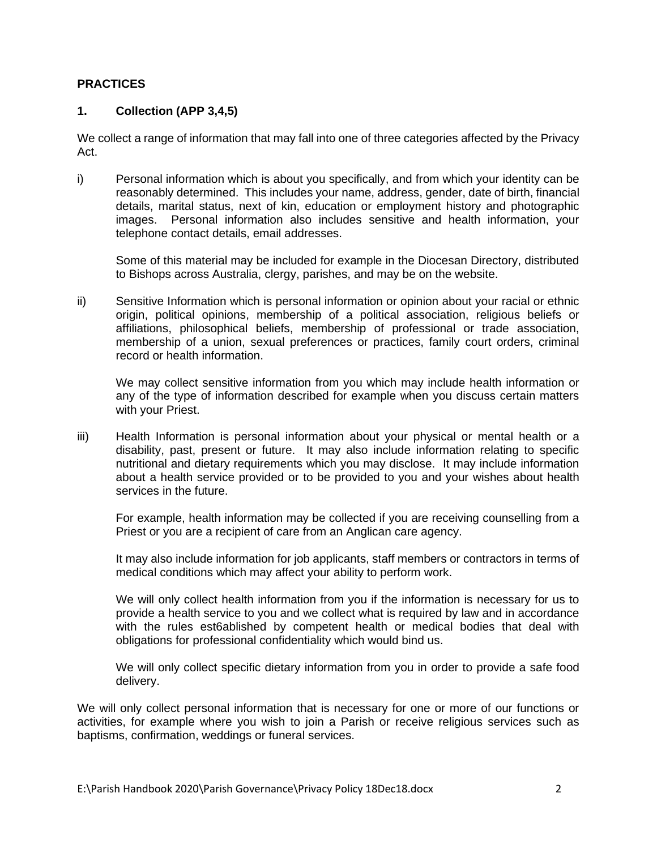### **PRACTICES**

## **1. Collection (APP 3,4,5)**

We collect a range of information that may fall into one of three categories affected by the Privacy Act.

i) Personal information which is about you specifically, and from which your identity can be reasonably determined. This includes your name, address, gender, date of birth, financial details, marital status, next of kin, education or employment history and photographic images. Personal information also includes sensitive and health information, your telephone contact details, email addresses.

Some of this material may be included for example in the Diocesan Directory, distributed to Bishops across Australia, clergy, parishes, and may be on the website.

ii) Sensitive Information which is personal information or opinion about your racial or ethnic origin, political opinions, membership of a political association, religious beliefs or affiliations, philosophical beliefs, membership of professional or trade association, membership of a union, sexual preferences or practices, family court orders, criminal record or health information.

We may collect sensitive information from you which may include health information or any of the type of information described for example when you discuss certain matters with your Priest.

iii) Health Information is personal information about your physical or mental health or a disability, past, present or future. It may also include information relating to specific nutritional and dietary requirements which you may disclose. It may include information about a health service provided or to be provided to you and your wishes about health services in the future.

For example, health information may be collected if you are receiving counselling from a Priest or you are a recipient of care from an Anglican care agency.

It may also include information for job applicants, staff members or contractors in terms of medical conditions which may affect your ability to perform work.

We will only collect health information from you if the information is necessary for us to provide a health service to you and we collect what is required by law and in accordance with the rules est6ablished by competent health or medical bodies that deal with obligations for professional confidentiality which would bind us.

We will only collect specific dietary information from you in order to provide a safe food delivery.

We will only collect personal information that is necessary for one or more of our functions or activities, for example where you wish to join a Parish or receive religious services such as baptisms, confirmation, weddings or funeral services.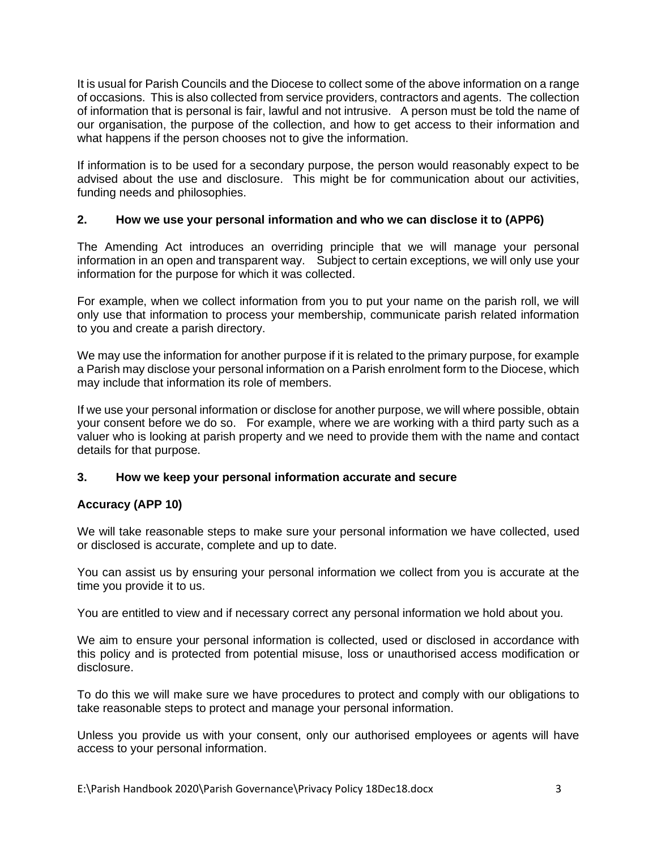It is usual for Parish Councils and the Diocese to collect some of the above information on a range of occasions. This is also collected from service providers, contractors and agents. The collection of information that is personal is fair, lawful and not intrusive. A person must be told the name of our organisation, the purpose of the collection, and how to get access to their information and what happens if the person chooses not to give the information.

If information is to be used for a secondary purpose, the person would reasonably expect to be advised about the use and disclosure. This might be for communication about our activities, funding needs and philosophies.

## **2. How we use your personal information and who we can disclose it to (APP6)**

The Amending Act introduces an overriding principle that we will manage your personal information in an open and transparent way. Subject to certain exceptions, we will only use your information for the purpose for which it was collected.

For example, when we collect information from you to put your name on the parish roll, we will only use that information to process your membership, communicate parish related information to you and create a parish directory.

We may use the information for another purpose if it is related to the primary purpose, for example a Parish may disclose your personal information on a Parish enrolment form to the Diocese, which may include that information its role of members.

If we use your personal information or disclose for another purpose, we will where possible, obtain your consent before we do so. For example, where we are working with a third party such as a valuer who is looking at parish property and we need to provide them with the name and contact details for that purpose.

## **3. How we keep your personal information accurate and secure**

## **Accuracy (APP 10)**

We will take reasonable steps to make sure your personal information we have collected, used or disclosed is accurate, complete and up to date.

You can assist us by ensuring your personal information we collect from you is accurate at the time you provide it to us.

You are entitled to view and if necessary correct any personal information we hold about you.

We aim to ensure your personal information is collected, used or disclosed in accordance with this policy and is protected from potential misuse, loss or unauthorised access modification or disclosure.

To do this we will make sure we have procedures to protect and comply with our obligations to take reasonable steps to protect and manage your personal information.

Unless you provide us with your consent, only our authorised employees or agents will have access to your personal information.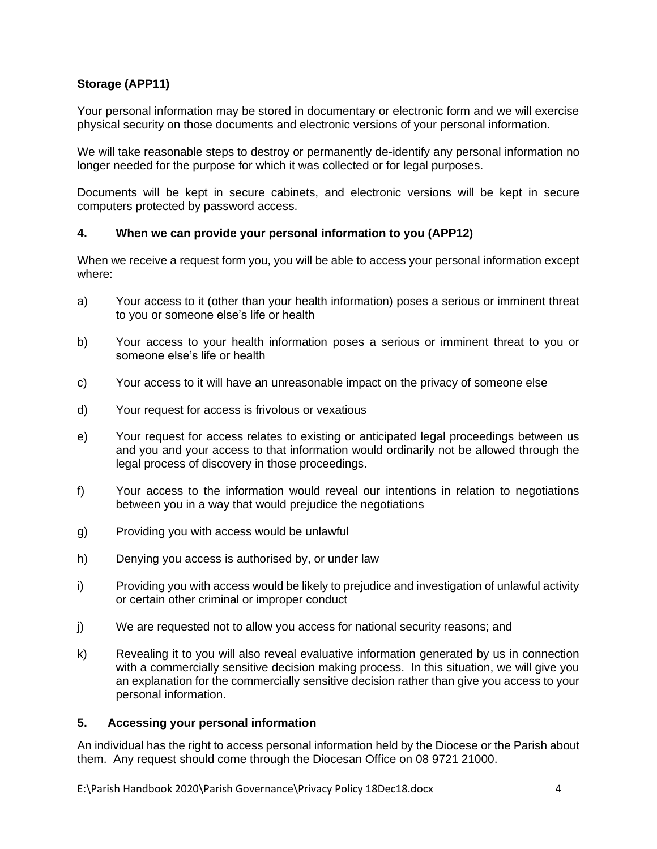# **Storage (APP11)**

Your personal information may be stored in documentary or electronic form and we will exercise physical security on those documents and electronic versions of your personal information.

We will take reasonable steps to destroy or permanently de-identify any personal information no longer needed for the purpose for which it was collected or for legal purposes.

Documents will be kept in secure cabinets, and electronic versions will be kept in secure computers protected by password access.

## **4. When we can provide your personal information to you (APP12)**

When we receive a request form you, you will be able to access your personal information except where:

- a) Your access to it (other than your health information) poses a serious or imminent threat to you or someone else's life or health
- b) Your access to your health information poses a serious or imminent threat to you or someone else's life or health
- c) Your access to it will have an unreasonable impact on the privacy of someone else
- d) Your request for access is frivolous or vexatious
- e) Your request for access relates to existing or anticipated legal proceedings between us and you and your access to that information would ordinarily not be allowed through the legal process of discovery in those proceedings.
- f) Your access to the information would reveal our intentions in relation to negotiations between you in a way that would prejudice the negotiations
- g) Providing you with access would be unlawful
- h) Denying you access is authorised by, or under law
- i) Providing you with access would be likely to prejudice and investigation of unlawful activity or certain other criminal or improper conduct
- j) We are requested not to allow you access for national security reasons; and
- k) Revealing it to you will also reveal evaluative information generated by us in connection with a commercially sensitive decision making process. In this situation, we will give you an explanation for the commercially sensitive decision rather than give you access to your personal information.

## **5. Accessing your personal information**

An individual has the right to access personal information held by the Diocese or the Parish about them. Any request should come through the Diocesan Office on 08 9721 21000.

E:\Parish Handbook 2020\Parish Governance\Privacy Policy 18Dec18.docx 4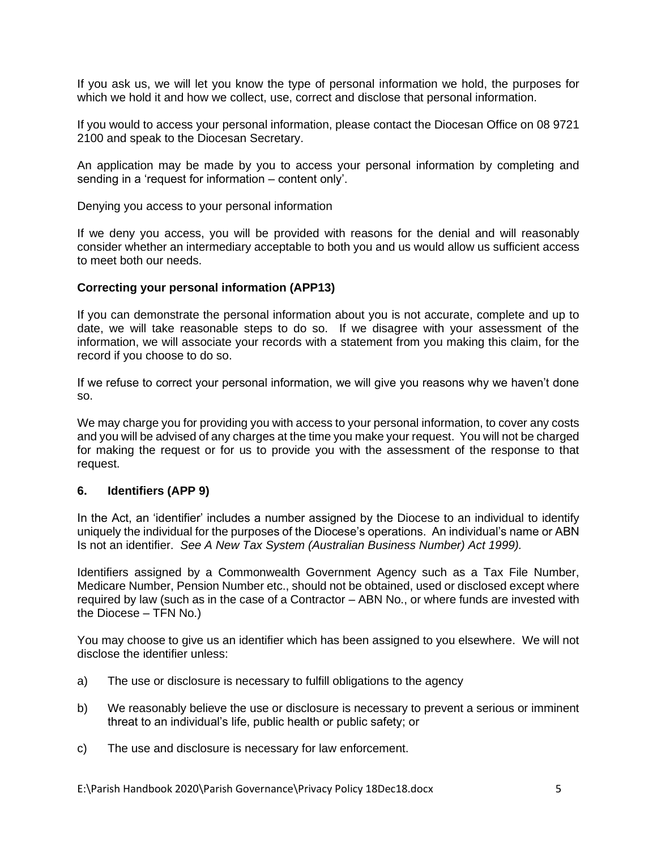If you ask us, we will let you know the type of personal information we hold, the purposes for which we hold it and how we collect, use, correct and disclose that personal information.

If you would to access your personal information, please contact the Diocesan Office on 08 9721 2100 and speak to the Diocesan Secretary.

An application may be made by you to access your personal information by completing and sending in a 'request for information – content only'.

Denying you access to your personal information

If we deny you access, you will be provided with reasons for the denial and will reasonably consider whether an intermediary acceptable to both you and us would allow us sufficient access to meet both our needs.

### **Correcting your personal information (APP13)**

If you can demonstrate the personal information about you is not accurate, complete and up to date, we will take reasonable steps to do so. If we disagree with your assessment of the information, we will associate your records with a statement from you making this claim, for the record if you choose to do so.

If we refuse to correct your personal information, we will give you reasons why we haven't done so.

We may charge you for providing you with access to your personal information, to cover any costs and you will be advised of any charges at the time you make your request. You will not be charged for making the request or for us to provide you with the assessment of the response to that request.

### **6. Identifiers (APP 9)**

In the Act, an 'identifier' includes a number assigned by the Diocese to an individual to identify uniquely the individual for the purposes of the Diocese's operations. An individual's name or ABN Is not an identifier. *See A New Tax System (Australian Business Number) Act 1999).*

Identifiers assigned by a Commonwealth Government Agency such as a Tax File Number, Medicare Number, Pension Number etc., should not be obtained, used or disclosed except where required by law (such as in the case of a Contractor – ABN No., or where funds are invested with the Diocese – TFN No.)

You may choose to give us an identifier which has been assigned to you elsewhere. We will not disclose the identifier unless:

- a) The use or disclosure is necessary to fulfill obligations to the agency
- b) We reasonably believe the use or disclosure is necessary to prevent a serious or imminent threat to an individual's life, public health or public safety; or
- c) The use and disclosure is necessary for law enforcement.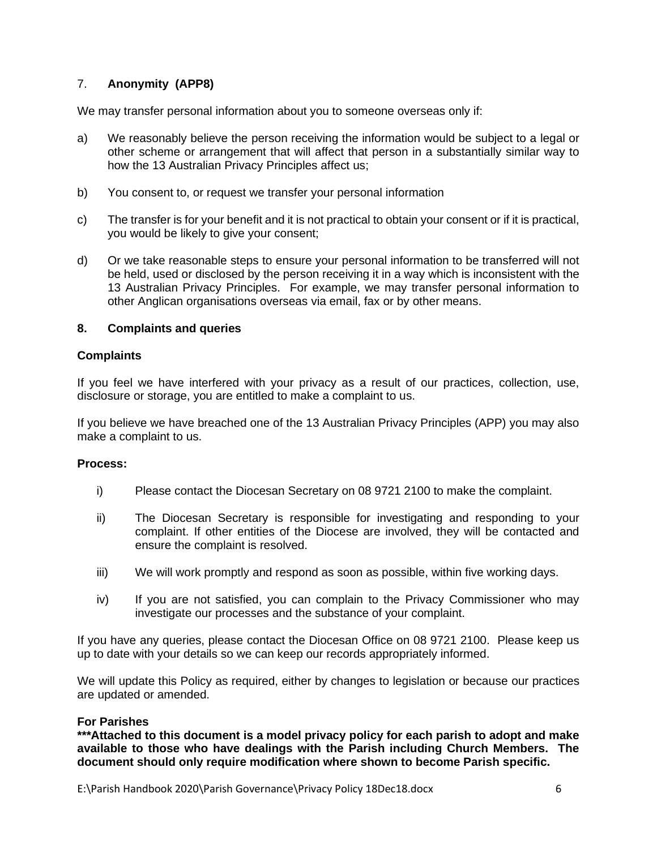# 7. **Anonymity (APP8)**

We may transfer personal information about you to someone overseas only if:

- a) We reasonably believe the person receiving the information would be subject to a legal or other scheme or arrangement that will affect that person in a substantially similar way to how the 13 Australian Privacy Principles affect us;
- b) You consent to, or request we transfer your personal information
- c) The transfer is for your benefit and it is not practical to obtain your consent or if it is practical, you would be likely to give your consent;
- d) Or we take reasonable steps to ensure your personal information to be transferred will not be held, used or disclosed by the person receiving it in a way which is inconsistent with the 13 Australian Privacy Principles. For example, we may transfer personal information to other Anglican organisations overseas via email, fax or by other means.

## **8. Complaints and queries**

## **Complaints**

If you feel we have interfered with your privacy as a result of our practices, collection, use, disclosure or storage, you are entitled to make a complaint to us.

If you believe we have breached one of the 13 Australian Privacy Principles (APP) you may also make a complaint to us.

## **Process:**

- i) Please contact the Diocesan Secretary on 08 9721 2100 to make the complaint.
- ii) The Diocesan Secretary is responsible for investigating and responding to your complaint. If other entities of the Diocese are involved, they will be contacted and ensure the complaint is resolved.
- iii) We will work promptly and respond as soon as possible, within five working days.
- iv) If you are not satisfied, you can complain to the Privacy Commissioner who may investigate our processes and the substance of your complaint.

If you have any queries, please contact the Diocesan Office on 08 9721 2100. Please keep us up to date with your details so we can keep our records appropriately informed.

We will update this Policy as required, either by changes to legislation or because our practices are updated or amended.

## **For Parishes**

**\*\*\*Attached to this document is a model privacy policy for each parish to adopt and make available to those who have dealings with the Parish including Church Members. The document should only require modification where shown to become Parish specific.**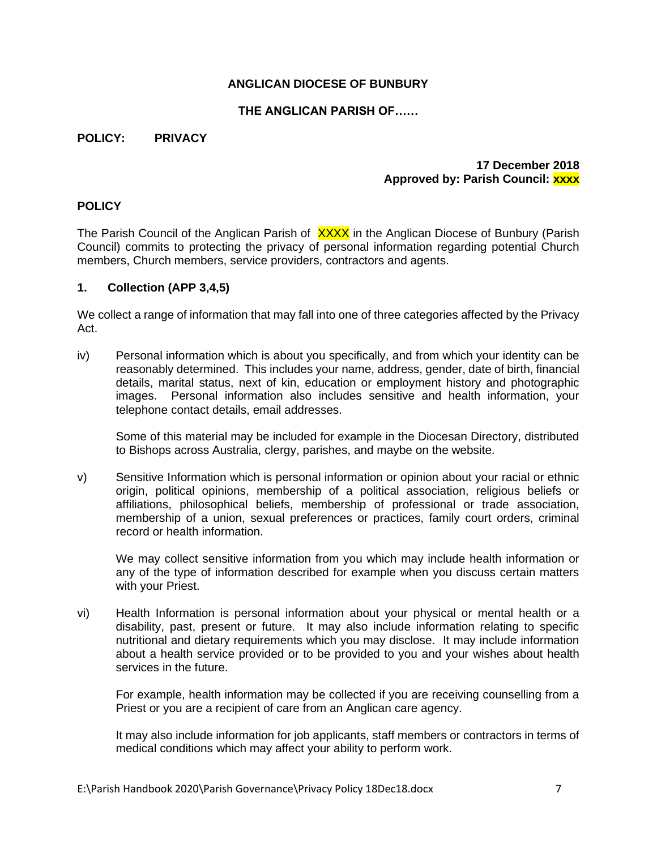## **ANGLICAN DIOCESE OF BUNBURY**

## **THE ANGLICAN PARISH OF……**

### **POLICY: PRIVACY**

## **17 December 2018 Approved by: Parish Council: xxxx**

## **POLICY**

The Parish Council of the Anglican Parish of XXXX in the Anglican Diocese of Bunbury (Parish Council) commits to protecting the privacy of personal information regarding potential Church members, Church members, service providers, contractors and agents.

### **1. Collection (APP 3,4,5)**

We collect a range of information that may fall into one of three categories affected by the Privacy Act.

iv) Personal information which is about you specifically, and from which your identity can be reasonably determined. This includes your name, address, gender, date of birth, financial details, marital status, next of kin, education or employment history and photographic images. Personal information also includes sensitive and health information, your telephone contact details, email addresses.

Some of this material may be included for example in the Diocesan Directory, distributed to Bishops across Australia, clergy, parishes, and maybe on the website.

v) Sensitive Information which is personal information or opinion about your racial or ethnic origin, political opinions, membership of a political association, religious beliefs or affiliations, philosophical beliefs, membership of professional or trade association, membership of a union, sexual preferences or practices, family court orders, criminal record or health information.

We may collect sensitive information from you which may include health information or any of the type of information described for example when you discuss certain matters with your Priest.

vi) Health Information is personal information about your physical or mental health or a disability, past, present or future. It may also include information relating to specific nutritional and dietary requirements which you may disclose. It may include information about a health service provided or to be provided to you and your wishes about health services in the future.

For example, health information may be collected if you are receiving counselling from a Priest or you are a recipient of care from an Anglican care agency.

It may also include information for job applicants, staff members or contractors in terms of medical conditions which may affect your ability to perform work.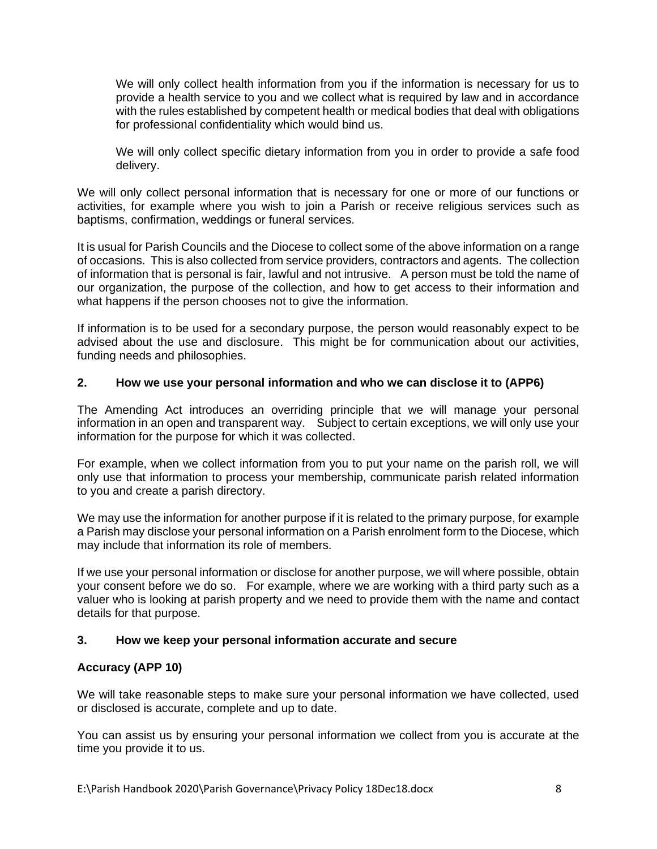We will only collect health information from you if the information is necessary for us to provide a health service to you and we collect what is required by law and in accordance with the rules established by competent health or medical bodies that deal with obligations for professional confidentiality which would bind us.

We will only collect specific dietary information from you in order to provide a safe food delivery.

We will only collect personal information that is necessary for one or more of our functions or activities, for example where you wish to join a Parish or receive religious services such as baptisms, confirmation, weddings or funeral services.

It is usual for Parish Councils and the Diocese to collect some of the above information on a range of occasions. This is also collected from service providers, contractors and agents. The collection of information that is personal is fair, lawful and not intrusive. A person must be told the name of our organization, the purpose of the collection, and how to get access to their information and what happens if the person chooses not to give the information.

If information is to be used for a secondary purpose, the person would reasonably expect to be advised about the use and disclosure. This might be for communication about our activities, funding needs and philosophies.

## **2. How we use your personal information and who we can disclose it to (APP6)**

The Amending Act introduces an overriding principle that we will manage your personal information in an open and transparent way. Subject to certain exceptions, we will only use your information for the purpose for which it was collected.

For example, when we collect information from you to put your name on the parish roll, we will only use that information to process your membership, communicate parish related information to you and create a parish directory.

We may use the information for another purpose if it is related to the primary purpose, for example a Parish may disclose your personal information on a Parish enrolment form to the Diocese, which may include that information its role of members.

If we use your personal information or disclose for another purpose, we will where possible, obtain your consent before we do so. For example, where we are working with a third party such as a valuer who is looking at parish property and we need to provide them with the name and contact details for that purpose.

## **3. How we keep your personal information accurate and secure**

# **Accuracy (APP 10)**

We will take reasonable steps to make sure your personal information we have collected, used or disclosed is accurate, complete and up to date.

You can assist us by ensuring your personal information we collect from you is accurate at the time you provide it to us.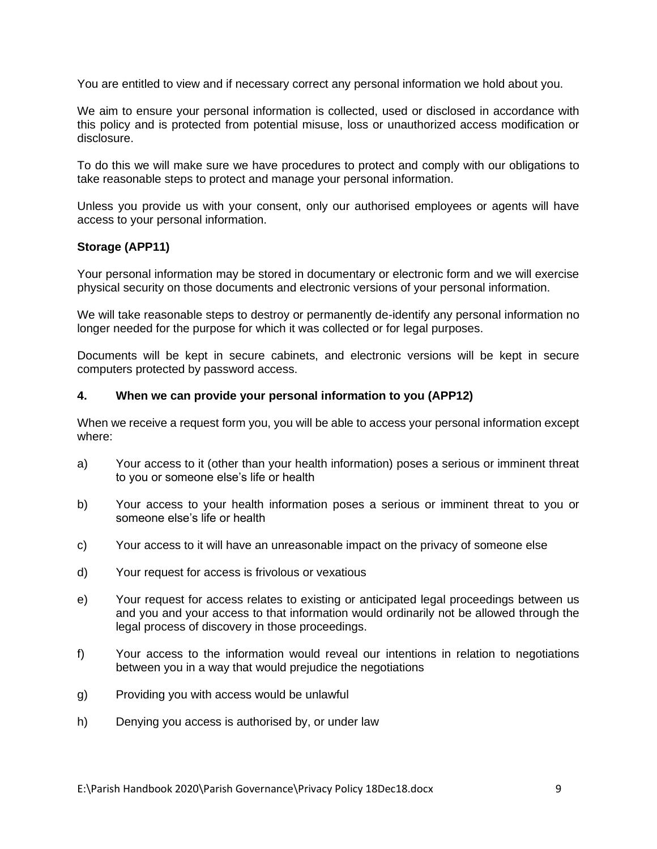You are entitled to view and if necessary correct any personal information we hold about you.

We aim to ensure your personal information is collected, used or disclosed in accordance with this policy and is protected from potential misuse, loss or unauthorized access modification or disclosure.

To do this we will make sure we have procedures to protect and comply with our obligations to take reasonable steps to protect and manage your personal information.

Unless you provide us with your consent, only our authorised employees or agents will have access to your personal information.

## **Storage (APP11)**

Your personal information may be stored in documentary or electronic form and we will exercise physical security on those documents and electronic versions of your personal information.

We will take reasonable steps to destroy or permanently de-identify any personal information no longer needed for the purpose for which it was collected or for legal purposes.

Documents will be kept in secure cabinets, and electronic versions will be kept in secure computers protected by password access.

### **4. When we can provide your personal information to you (APP12)**

When we receive a request form you, you will be able to access your personal information except where:

- a) Your access to it (other than your health information) poses a serious or imminent threat to you or someone else's life or health
- b) Your access to your health information poses a serious or imminent threat to you or someone else's life or health
- c) Your access to it will have an unreasonable impact on the privacy of someone else
- d) Your request for access is frivolous or vexatious
- e) Your request for access relates to existing or anticipated legal proceedings between us and you and your access to that information would ordinarily not be allowed through the legal process of discovery in those proceedings.
- f) Your access to the information would reveal our intentions in relation to negotiations between you in a way that would prejudice the negotiations
- g) Providing you with access would be unlawful
- h) Denying you access is authorised by, or under law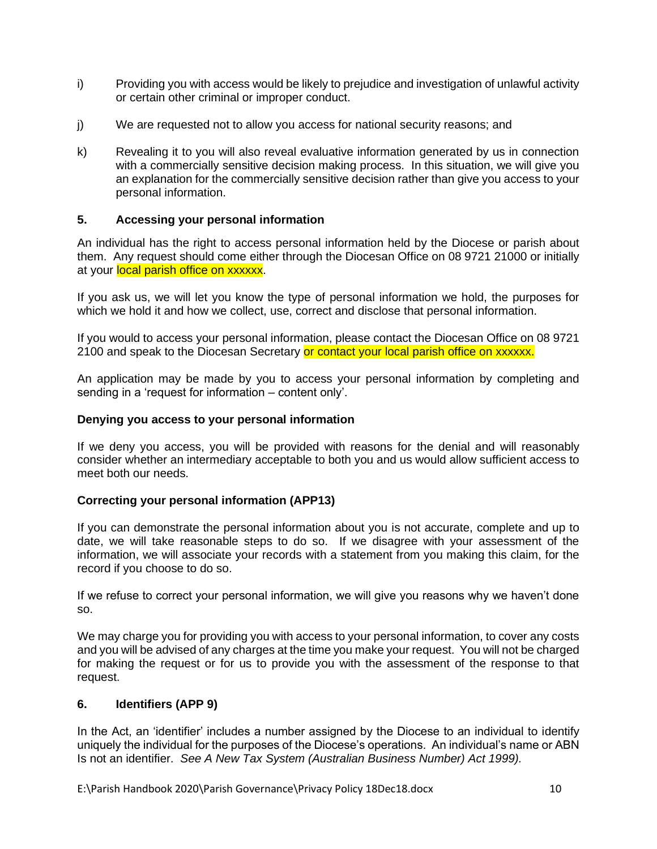- i) Providing you with access would be likely to prejudice and investigation of unlawful activity or certain other criminal or improper conduct.
- j) We are requested not to allow you access for national security reasons; and
- k) Revealing it to you will also reveal evaluative information generated by us in connection with a commercially sensitive decision making process. In this situation, we will give you an explanation for the commercially sensitive decision rather than give you access to your personal information.

## **5. Accessing your personal information**

An individual has the right to access personal information held by the Diocese or parish about them. Any request should come either through the Diocesan Office on 08 9721 21000 or initially at your local parish office on xxxxxx.

If you ask us, we will let you know the type of personal information we hold, the purposes for which we hold it and how we collect, use, correct and disclose that personal information.

If you would to access your personal information, please contact the Diocesan Office on 08 9721 2100 and speak to the Diocesan Secretary or contact your local parish office on xxxxxx.

An application may be made by you to access your personal information by completing and sending in a 'request for information – content only'.

## **Denying you access to your personal information**

If we deny you access, you will be provided with reasons for the denial and will reasonably consider whether an intermediary acceptable to both you and us would allow sufficient access to meet both our needs.

## **Correcting your personal information (APP13)**

If you can demonstrate the personal information about you is not accurate, complete and up to date, we will take reasonable steps to do so. If we disagree with your assessment of the information, we will associate your records with a statement from you making this claim, for the record if you choose to do so.

If we refuse to correct your personal information, we will give you reasons why we haven't done so.

We may charge you for providing you with access to your personal information, to cover any costs and you will be advised of any charges at the time you make your request. You will not be charged for making the request or for us to provide you with the assessment of the response to that request.

## **6. Identifiers (APP 9)**

In the Act, an 'identifier' includes a number assigned by the Diocese to an individual to identify uniquely the individual for the purposes of the Diocese's operations. An individual's name or ABN Is not an identifier. *See A New Tax System (Australian Business Number) Act 1999).*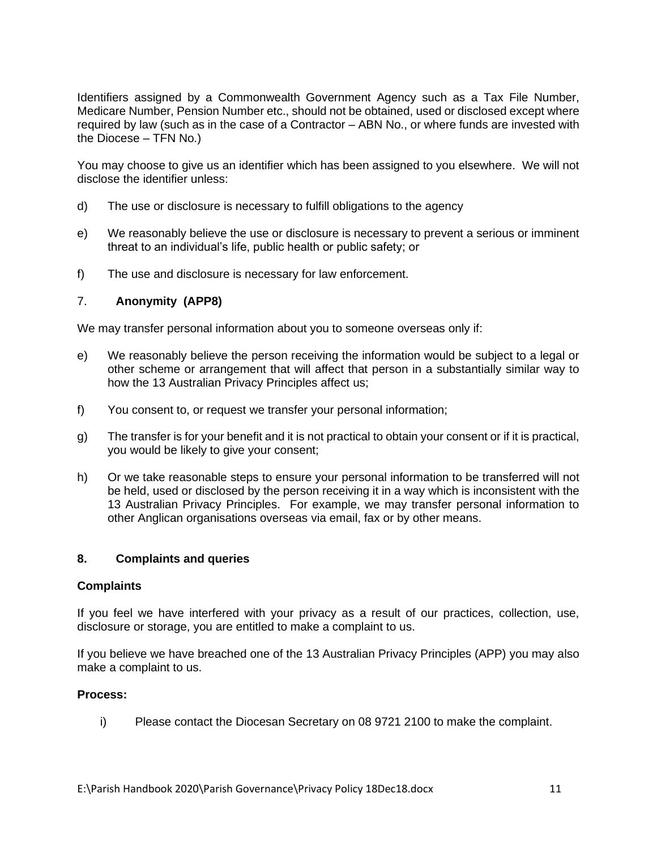Identifiers assigned by a Commonwealth Government Agency such as a Tax File Number, Medicare Number, Pension Number etc., should not be obtained, used or disclosed except where required by law (such as in the case of a Contractor – ABN No., or where funds are invested with the Diocese – TFN No.)

You may choose to give us an identifier which has been assigned to you elsewhere. We will not disclose the identifier unless:

- d) The use or disclosure is necessary to fulfill obligations to the agency
- e) We reasonably believe the use or disclosure is necessary to prevent a serious or imminent threat to an individual's life, public health or public safety; or
- f) The use and disclosure is necessary for law enforcement.

### 7. **Anonymity (APP8)**

We may transfer personal information about you to someone overseas only if:

- e) We reasonably believe the person receiving the information would be subject to a legal or other scheme or arrangement that will affect that person in a substantially similar way to how the 13 Australian Privacy Principles affect us;
- f) You consent to, or request we transfer your personal information;
- g) The transfer is for your benefit and it is not practical to obtain your consent or if it is practical, you would be likely to give your consent;
- h) Or we take reasonable steps to ensure your personal information to be transferred will not be held, used or disclosed by the person receiving it in a way which is inconsistent with the 13 Australian Privacy Principles. For example, we may transfer personal information to other Anglican organisations overseas via email, fax or by other means.

### **8. Complaints and queries**

#### **Complaints**

If you feel we have interfered with your privacy as a result of our practices, collection, use, disclosure or storage, you are entitled to make a complaint to us.

If you believe we have breached one of the 13 Australian Privacy Principles (APP) you may also make a complaint to us.

#### **Process:**

i) Please contact the Diocesan Secretary on 08 9721 2100 to make the complaint.